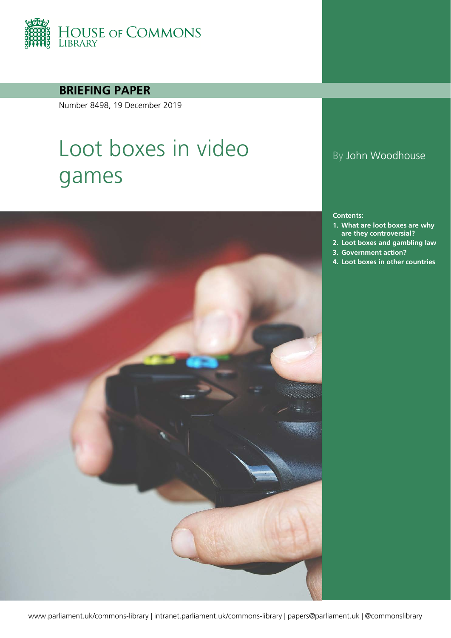

**BRIEFING PAPER**

Number 8498, 19 December 2019

# Loot boxes in video games



# By John Woodhouse

**Contents:**

- **1. [What are loot boxes are why](#page-3-0)  [are they controversial?](#page-3-0)**
- **2. [Loot boxes and gambling law](#page-4-0)**
- **3. [Government action?](#page-7-0)**
- **4. [Loot boxes in other countries](#page-7-1)**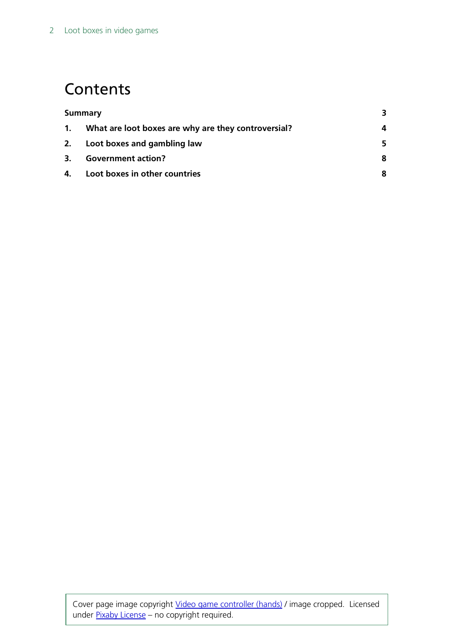# **Contents**

| Summary |                                                     |    |
|---------|-----------------------------------------------------|----|
| 1.      | What are loot boxes are why are they controversial? | 4  |
| 2.      | Loot boxes and gambling law                         | 5. |
| 3.      | <b>Government action?</b>                           | 8  |
| 4.      | Loot boxes in other countries                       |    |

Cover page image copyright [Video game controller \(hands\)](https://pixabay.com/en/video-games-joy-stick-games-1557358/) / image cropped. Licensed under [Pixaby License](https://pixabay.com/en/service/license/) - no copyright required.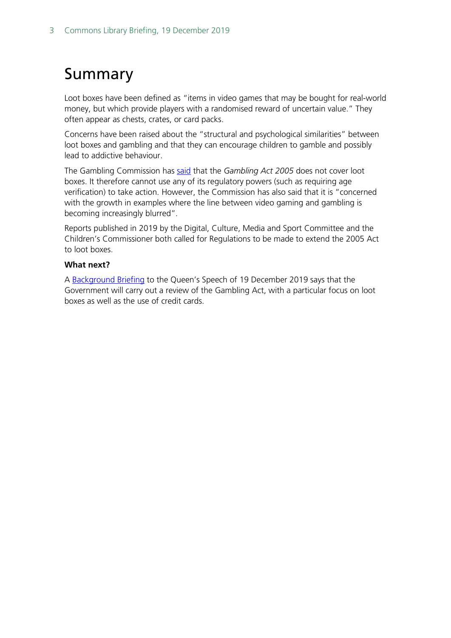# <span id="page-2-0"></span>Summary

Loot boxes have been defined as "items in video games that may be bought for real-world money, but which provide players with a randomised reward of uncertain value." They often appear as chests, crates, or card packs.

Concerns have been raised about the "structural and psychological similarities" between loot boxes and gambling and that they can encourage children to gamble and possibly lead to addictive behaviour.

The Gambling Commission has [said](https://www.gamblingcommission.gov.uk/news-action-and-statistics/news/2017/Loot-boxes-within-video-games.aspx) that the *Gambling Act 2005* does not cover loot boxes. It therefore cannot use any of its regulatory powers (such as requiring age verification) to take action. However, the Commission has also said that it is "concerned with the growth in examples where the line between video gaming and gambling is becoming increasingly blurred".

Reports published in 2019 by the Digital, Culture, Media and Sport Committee and the Children's Commissioner both called for Regulations to be made to extend the 2005 Act to loot boxes.

### **What next?**

A [Background Briefing](https://assets.publishing.service.gov.uk/government/uploads/system/uploads/attachment_data/file/853886/Queen_s_Speech_December_2019_-_background_briefing_notes.pdf) to the Queen's Speech of 19 December 2019 says that the Government will carry out a review of the Gambling Act, with a particular focus on loot boxes as well as the use of credit cards.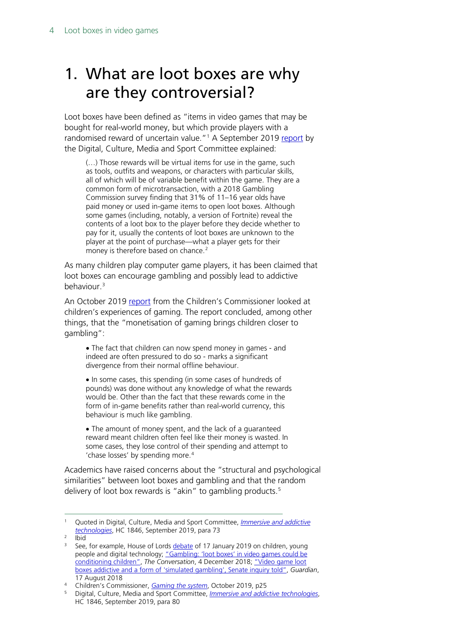# <span id="page-3-0"></span>1. What are loot boxes are why are they controversial?

Loot boxes have been defined as "items in video games that may be bought for real-world money, but which provide players with a randomised reward of uncertain value."<sup>[1](#page-3-1)</sup> A September 2019 [report](https://publications.parliament.uk/pa/cm201719/cmselect/cmcumeds/1846/1846.pdf) by the Digital, Culture, Media and Sport Committee explained:

(…) Those rewards will be virtual items for use in the game, such as tools, outfits and weapons, or characters with particular skills, all of which will be of variable benefit within the game. They are a common form of microtransaction, with a 2018 Gambling Commission survey finding that 31% of 11–16 year olds have paid money or used in-game items to open loot boxes. Although some games (including, notably, a version of Fortnite) reveal the contents of a loot box to the player before they decide whether to pay for it, usually the contents of loot boxes are unknown to the player at the point of purchase—what a player gets for their money is therefore based on chance.<sup>[2](#page-3-2)</sup>

As many children play computer game players, it has been claimed that loot boxes can encourage gambling and possibly lead to addictive behaviour.<sup>[3](#page-3-3)</sup>

An October 2019 [report](https://www.childrenscommissioner.gov.uk/wp-content/uploads/2019/10/CCO-Gaming-the-System-2019.pdf) from the Children's Commissioner looked at children's experiences of gaming. The report concluded, among other things, that the "monetisation of gaming brings children closer to gambling":

• The fact that children can now spend money in games - and indeed are often pressured to do so - marks a significant divergence from their normal offline behaviour.

• In some cases, this spending (in some cases of hundreds of pounds) was done without any knowledge of what the rewards would be. Other than the fact that these rewards come in the form of in-game benefits rather than real-world currency, this behaviour is much like gambling.

• The amount of money spent, and the lack of a guaranteed reward meant children often feel like their money is wasted. In some cases, they lose control of their spending and attempt to 'chase losses' by spending more. $4$ 

Academics have raised concerns about the "structural and psychological similarities" between loot boxes and gambling and that the random delivery of loot box rewards is "akin" to gambling products.<sup>[5](#page-3-5)</sup>

<span id="page-3-1"></span> <sup>1</sup> Quoted in Digital, Culture, Media and Sport Committee, *[Immersive and addictive](https://publications.parliament.uk/pa/cm201719/cmselect/cmcumeds/1846/1846.pdf)  [technologies](https://publications.parliament.uk/pa/cm201719/cmselect/cmcumeds/1846/1846.pdf)*, HC 1846, September 2019, para 73

<span id="page-3-2"></span> $2 \overline{libid}$ 

<span id="page-3-3"></span><sup>&</sup>lt;sup>3</sup> See, for example, House of Lords [debate](https://hansard.parliament.uk/Lords/2019-01-17/debates/3D73C90D-4375-4494-9B17-D6A5A0ED9389/ChildrenAndYoungPeopleDigitalTechnology) of 17 January 2019 on children, young people and digital technology; ["Gambling: 'loot boxes' in video games could be](http://theconversation.com/gambling-loot-boxes-in-video-games-could-be-conditioning-children-107667)  [conditioning children",](http://theconversation.com/gambling-loot-boxes-in-video-games-could-be-conditioning-children-107667) *The Conversation*, 4 December 2018; ["Video game loot](https://www.theguardian.com/games/2018/aug/17/video-game-loot-boxes-addictive-and-a-form-of-simulated-gambling-senate-inquiry-told)  [boxes addictive and a form of 'simulated gambling', Senate inquiry told",](https://www.theguardian.com/games/2018/aug/17/video-game-loot-boxes-addictive-and-a-form-of-simulated-gambling-senate-inquiry-told) *Guardian*, 17 August 2018

<span id="page-3-4"></span><sup>4</sup> Children's Commissioner, *[Gaming the system](https://www.childrenscommissioner.gov.uk/wp-content/uploads/2019/10/CCO-Gaming-the-System-2019.pdf)*, October 2019, p25

<span id="page-3-5"></span><sup>5</sup> Digital, Culture, Media and Sport Committee, *[Immersive and addictive technologies](https://publications.parliament.uk/pa/cm201719/cmselect/cmcumeds/1846/1846.pdf)*, HC 1846, September 2019, para 80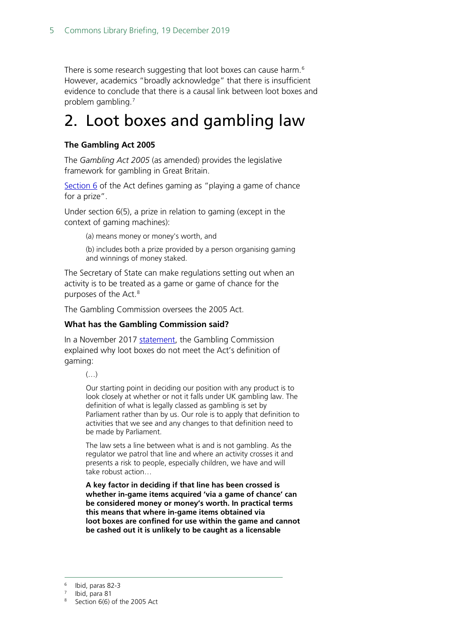There is some research suggesting that loot boxes can cause harm.<sup>[6](#page-4-1)</sup> However, academics "broadly acknowledge" that there is insufficient evidence to conclude that there is a causal link between loot boxes and problem gambling.[7](#page-4-2)

# <span id="page-4-0"></span>2. Loot boxes and gambling law

#### **The Gambling Act 2005**

The *Gambling Act 2005* (as amended) provides the legislative framework for gambling in Great Britain.

Section  $6$  of the Act defines gaming as "playing a game of chance for a prize".

Under section 6(5), a prize in relation to gaming (except in the context of gaming machines):

(a) means money or money's worth, and

(b) includes both a prize provided by a person organising gaming and winnings of money staked.

The Secretary of State can make regulations setting out when an activity is to be treated as a game or game of chance for the purposes of the Act.<sup>[8](#page-4-3)</sup>

The Gambling Commission oversees the 2005 Act.

#### **What has the Gambling Commission said?**

In a November 2017 [statement,](https://www.gamblingcommission.gov.uk/news-action-and-statistics/news/2017/Loot-boxes-within-video-games.aspx) the Gambling Commission explained why loot boxes do not meet the Act's definition of gaming:

Our starting point in deciding our position with any product is to look closely at whether or not it falls under UK gambling law. The definition of what is legally classed as gambling is set by Parliament rather than by us. Our role is to apply that definition to activities that we see and any changes to that definition need to be made by Parliament.

The law sets a line between what is and is not gambling. As the regulator we patrol that line and where an activity crosses it and presents a risk to people, especially children, we have and will take robust action…

**A key factor in deciding if that line has been crossed is whether in-game items acquired 'via a game of chance' can be considered money or money's worth. In practical terms this means that where in-game items obtained via loot boxes are confined for use within the game and cannot be cashed out it is unlikely to be caught as a licensable** 

#### <span id="page-4-1"></span>6 Ibid, paras 82-3

 $\left(\ldots\right)$ 

<span id="page-4-3"></span><span id="page-4-2"></span> $\frac{7}{8}$  Ibid, para 81

Section 6(6) of the 2005 Act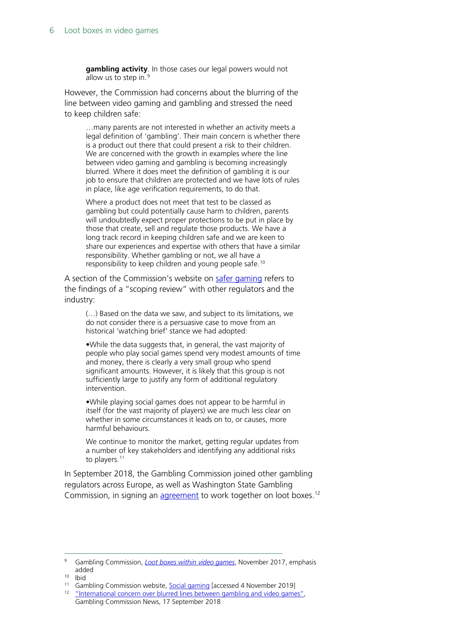**gambling activity**. In those cases our legal powers would not allow us to step in.<sup>[9](#page-5-0)</sup>

However, the Commission had concerns about the blurring of the line between video gaming and gambling and stressed the need to keep children safe:

…many parents are not interested in whether an activity meets a legal definition of 'gambling'. Their main concern is whether there is a product out there that could present a risk to their children. We are concerned with the growth in examples where the line between video gaming and gambling is becoming increasingly blurred. Where it does meet the definition of gambling it is our job to ensure that children are protected and we have lots of rules in place, like age verification requirements, to do that.

Where a product does not meet that test to be classed as gambling but could potentially cause harm to children, parents will undoubtedly expect proper protections to be put in place by those that create, sell and regulate those products. We have a long track record in keeping children safe and we are keen to share our experiences and expertise with others that have a similar responsibility. Whether gambling or not, we all have a responsibility to keep children and young people safe.[10](#page-5-1)

A section of the Commission's website on [safer gaming](https://www.gamblingcommission.gov.uk/for-the-public/Safer-gambling/Consumer-guides/Social-gaming.aspx) refers to the findings of a "scoping review" with other regulators and the industry:

(…) Based on the data we saw, and subject to its limitations, we do not consider there is a persuasive case to move from an historical 'watching brief' stance we had adopted:

•While the data suggests that, in general, the vast majority of people who play social games spend very modest amounts of time and money, there is clearly a very small group who spend significant amounts. However, it is likely that this group is not sufficiently large to justify any form of additional regulatory intervention.

•While playing social games does not appear to be harmful in itself (for the vast majority of players) we are much less clear on whether in some circumstances it leads on to, or causes, more harmful behaviours.

We continue to monitor the market, getting regular updates from a number of key stakeholders and identifying any additional risks to players.<sup>[11](#page-5-2)</sup>

In September 2018, the Gambling Commission joined other gambling regulators across Europe, as well as Washington State Gambling Commission, in signing an [agreement](https://www.gamblingcommission.gov.uk/PDF/International-gaming-and-gambling-declaration-2018.pdf) to work together on loot boxes.<sup>[12](#page-5-3)</sup>

<span id="page-5-0"></span> <sup>9</sup> Gambling Commission, *[Loot boxes within video games](https://www.gamblingcommission.gov.uk/news-action-and-statistics/news/2017/Loot-boxes-within-video-games.aspx)*, November 2017, emphasis added

<span id="page-5-1"></span><sup>&</sup>lt;sup>10</sup> Ibid<br><sup>11</sup> Gambling Commission website, Social gaming [accessed 4 November 2019]

<span id="page-5-3"></span><span id="page-5-2"></span><sup>&</sup>lt;sup>12</sup> "International concern over blurred lines between gambling and video games", Gambling Commission News, 17 September 2018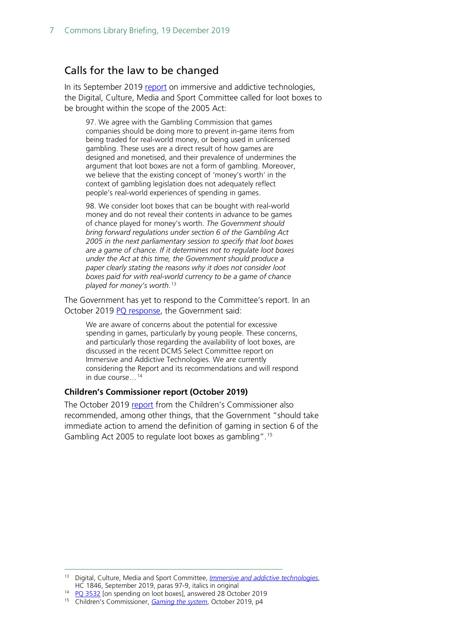# Calls for the law to be changed

In its September 2019 [report](https://publications.parliament.uk/pa/cm201719/cmselect/cmcumeds/1846/1846.pdf) on immersive and addictive technologies, the Digital, Culture, Media and Sport Committee called for loot boxes to be brought within the scope of the 2005 Act:

97. We agree with the Gambling Commission that games companies should be doing more to prevent in-game items from being traded for real-world money, or being used in unlicensed gambling. These uses are a direct result of how games are designed and monetised, and their prevalence of undermines the argument that loot boxes are not a form of gambling. Moreover, we believe that the existing concept of 'money's worth' in the context of gambling legislation does not adequately reflect people's real-world experiences of spending in games.

98. We consider loot boxes that can be bought with real-world money and do not reveal their contents in advance to be games of chance played for money's worth. *The Government should bring forward regulations under section 6 of the Gambling Act 2005 in the next parliamentary session to specify that loot boxes are a game of chance. If it determines not to regulate loot boxes under the Act at this time, the Government should produce a paper clearly stating the reasons why it does not consider loot boxes paid for with real-world currency to be a game of chance played for money's worth*. [13](#page-6-0)

The Government has yet to respond to the Committee's report. In an October 2019 [PQ response,](https://www.parliament.uk/written-questions-answers-statements/written-question/commons/2019-10-22/3532) the Government said:

We are aware of concerns about the potential for excessive spending in games, particularly by young people. These concerns, and particularly those regarding the availability of loot boxes, are discussed in the recent DCMS Select Committee report on Immersive and Addictive Technologies. We are currently considering the Report and its recommendations and will respond in due course...<sup>[14](#page-6-1)</sup>

#### **Children's Commissioner report (October 2019)**

The October 2019 [report](https://www.childrenscommissioner.gov.uk/wp-content/uploads/2019/10/CCO-Gaming-the-System-2019.pdf) from the Children's Commissioner also recommended, among other things, that the Government "should take immediate action to amend the definition of gaming in section 6 of the Gambling Act 2005 to regulate loot boxes as gambling".[15](#page-6-2)

<span id="page-6-0"></span> <sup>13</sup> Digital, Culture, Media and Sport Committee, *[Immersive and addictive technologies](https://publications.parliament.uk/pa/cm201719/cmselect/cmcumeds/1846/1846.pdf)*, HC 1846, September 2019, paras 97-9, italics in original

<span id="page-6-1"></span><sup>14</sup> [PQ 3532](https://www.parliament.uk/written-questions-answers-statements/written-question/commons/2019-10-22/3532) [on spending on loot boxes], answered 28 October 2019

<span id="page-6-2"></span><sup>15</sup> Children's Commissioner, *[Gaming the system](https://www.childrenscommissioner.gov.uk/wp-content/uploads/2019/10/CCO-Gaming-the-System-2019.pdf)*, October 2019, p4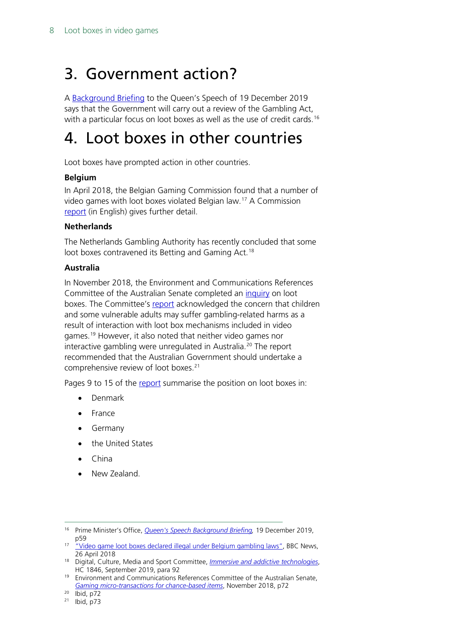# <span id="page-7-0"></span>3. Government action?

A [Background Briefing](https://assets.publishing.service.gov.uk/government/uploads/system/uploads/attachment_data/file/853886/Queen_s_Speech_December_2019_-_background_briefing_notes.pdf) to the Queen's Speech of 19 December 2019 says that the Government will carry out a review of the Gambling Act, with a particular focus on loot boxes as well as the use of credit cards.<sup>16</sup>

# <span id="page-7-1"></span>4. Loot boxes in other countries

Loot boxes have prompted action in other countries.

### **Belgium**

In April 2018, the Belgian Gaming Commission found that a number of video games with loot boxes violated Belgian law.[17](#page-7-3) A Commission [report](https://www.gamingcommission.be/opencms/export/sites/default/jhksweb_nl/documents/onderzoeksrapport-loot-boxen-Engels-publicatie.pdf) (in English) gives further detail.

### **Netherlands**

The Netherlands Gambling Authority has recently concluded that some loot boxes contravened its Betting and Gaming Act.<sup>[18](#page-7-4)</sup>

### **Australia**

In November 2018, the Environment and Communications References Committee of the Australian Senate completed an *inquiry* on loot boxes. The Committee's [report](https://www.aph.gov.au/Parliamentary_Business/Committees/Senate/Environment_and_Communications/Gamingmicro-transactions/%7E/media/Committees/ec_ctte/Gamingmicro-transactions/report.pdf) acknowledged the concern that children and some vulnerable adults may suffer gambling-related harms as a result of interaction with loot box mechanisms included in video games.<sup>[19](#page-7-5)</sup> However, it also noted that neither video games nor interactive gambling were unregulated in Australia.<sup>[20](#page-7-6)</sup> The report recommended that the Australian Government should undertake a comprehensive review of loot boxes. [21](#page-7-7)

Pages 9 to 15 of the [report](https://www.aph.gov.au/Parliamentary_Business/Committees/Senate/Environment_and_Communications/Gamingmicro-transactions/%7E/media/Committees/ec_ctte/Gamingmicro-transactions/report.pdf) summarise the position on loot boxes in:

- Denmark
- France
- Germany
- the United States
- China
- New Zealand.

<span id="page-7-2"></span> <sup>16</sup> Prime Minister's Office, *[Queen's Speech Background Briefing,](https://assets.publishing.service.gov.uk/government/uploads/system/uploads/attachment_data/file/853886/Queen_s_Speech_December_2019_-_background_briefing_notes.pdf)* 19 December 2019, p59

<span id="page-7-3"></span><sup>&</sup>lt;sup>17</sup> ["Video game loot boxes declared illegal under Belgium gambling laws",](https://www.bbc.co.uk/news/technology-43906306) BBC News, 26 April 2018

<span id="page-7-4"></span><sup>18</sup> Digital, Culture, Media and Sport Committee, *[Immersive and addictive technologies](https://publications.parliament.uk/pa/cm201719/cmselect/cmcumeds/1846/1846.pdf)*, HC 1846, September 2019, para 92

<span id="page-7-5"></span><sup>&</sup>lt;sup>19</sup> Environment and Communications References Committee of the Australian Senate, *[Gaming micro-transactions for chance-based items](https://www.aph.gov.au/Parliamentary_Business/Committees/Senate/Environment_and_Communications/Gamingmicro-transactions/%7E/media/Committees/ec_ctte/Gamingmicro-transactions/report.pdf)*, November 2018, p72

<span id="page-7-7"></span><span id="page-7-6"></span><sup>20</sup> Ibid, p72